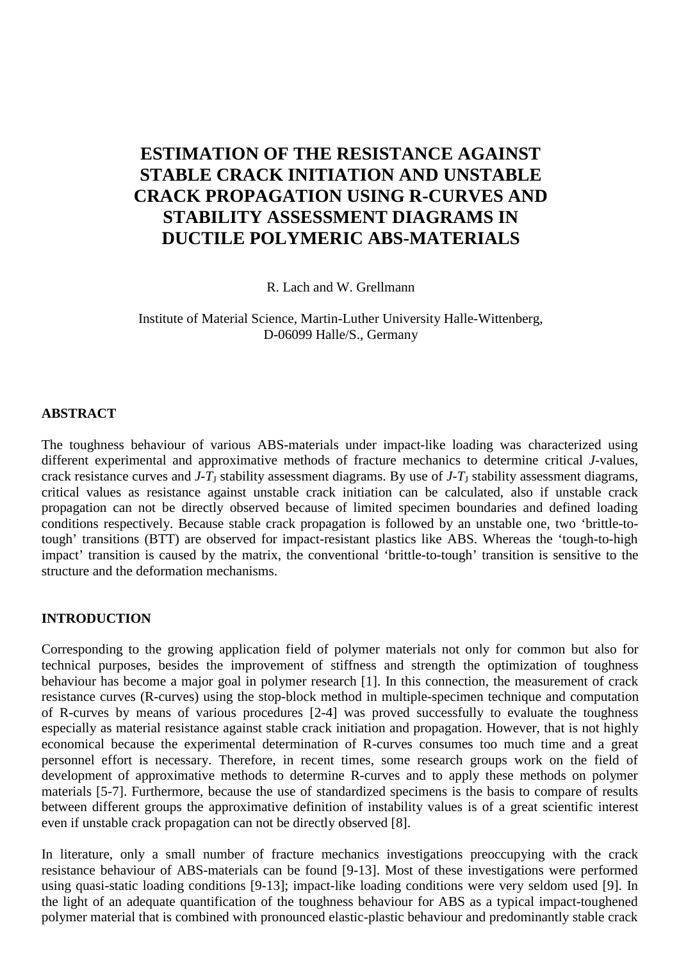# **ESTIMATION OF THE RESISTANCE AGAINST STABLE CRACK INITIATION AND UNSTABLE CRACK PROPAGATION USING R-CURVES AND STABILITY ASSESSMENT DIAGRAMS IN DUCTILE POLYMERIC ABS-MATERIALS**

R. Lach and W. Grellmann

Institute of Material Science, Martin-Luther University Halle-Wittenberg, D-06099 Halle/S., Germany

## **ABSTRACT**

The toughness behaviour of various ABS-materials under impact-like loading was characterized using different experimental and approximative methods of fracture mechanics to determine critical *J-*values, crack resistance curves and  $J-T<sub>J</sub>$  stability assessment diagrams. By use of  $J-T<sub>J</sub>$  stability assessment diagrams, critical values as resistance against unstable crack initiation can be calculated, also if unstable crack propagation can not be directly observed because of limited specimen boundaries and defined loading conditions respectively. Because stable crack propagation is followed by an unstable one, two 'brittle-totough' transitions (BTT) are observed for impact-resistant plastics like ABS. Whereas the 'tough-to-high impact' transition is caused by the matrix, the conventional 'brittle-to-tough' transition is sensitive to the structure and the deformation mechanisms.

## **INTRODUCTION**

Corresponding to the growing application field of polymer materials not only for common but also for technical purposes, besides the improvement of stiffness and strength the optimization of toughness behaviour has become a major goal in polymer research [1]. In this connection, the measurement of crack resistance curves (R-curves) using the stop-block method in multiple-specimen technique and computation of R-curves by means of various procedures [2-4] was proved successfully to evaluate the toughness especially as material resistance against stable crack initiation and propagation. However, that is not highly economical because the experimental determination of R-curves consumes too much time and a great personnel effort is necessary. Therefore, in recent times, some research groups work on the field of development of approximative methods to determine R-curves and to apply these methods on polymer materials [5-7]. Furthermore, because the use of standardized specimens is the basis to compare of results between different groups the approximative definition of instability values is of a great scientific interest even if unstable crack propagation can not be directly observed [8].

In literature, only a small number of fracture mechanics investigations preoccupying with the crack resistance behaviour of ABS-materials can be found [9-13]. Most of these investigations were performed using quasi-static loading conditions [9-13]; impact-like loading conditions were very seldom used [9]. In the light of an adequate quantification of the toughness behaviour for ABS as a typical impact-toughened polymer material that is combined with pronounced elastic-plastic behaviour and predominantly stable crack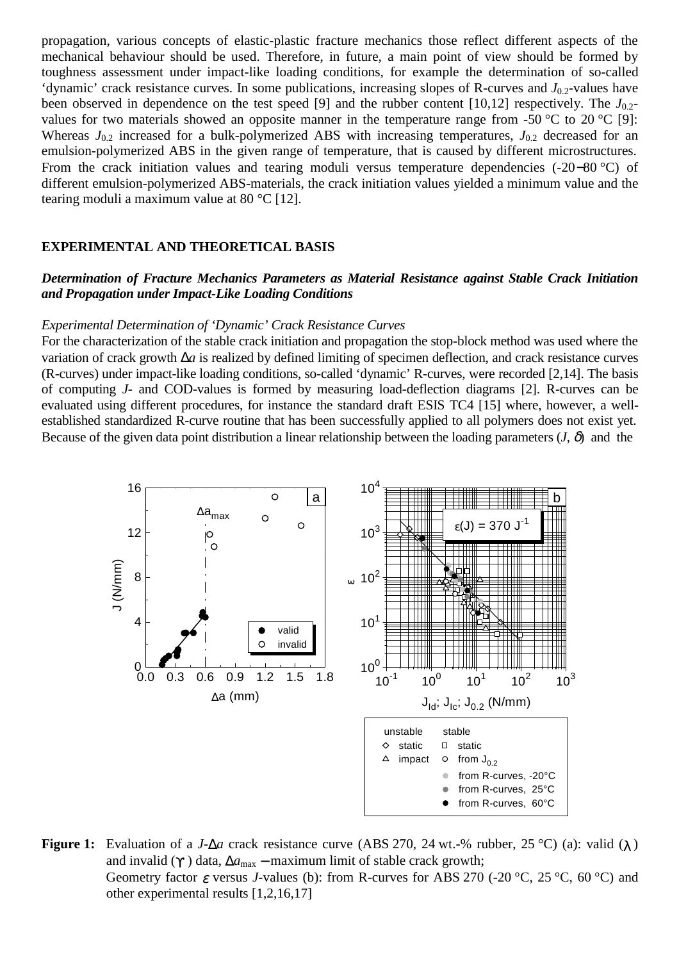propagation, various concepts of elastic-plastic fracture mechanics those reflect different aspects of the mechanical behaviour should be used. Therefore, in future, a main point of view should be formed by toughness assessment under impact-like loading conditions, for example the determination of so-called 'dynamic' crack resistance curves. In some publications, increasing slopes of R-curves and *J*0.2-values have been observed in dependence on the test speed [9] and the rubber content [10,12] respectively. The  $J_{0.2}$ values for two materials showed an opposite manner in the temperature range from -50 °C to 20 °C [9]: Whereas  $J_{0,2}$  increased for a bulk-polymerized ABS with increasing temperatures,  $J_{0,2}$  decreased for an emulsion-polymerized ABS in the given range of temperature, that is caused by different microstructures. From the crack initiation values and tearing moduli versus temperature dependencies (-20−80 °C) of different emulsion-polymerized ABS-materials, the crack initiation values yielded a minimum value and the tearing moduli a maximum value at 80 °C [12].

#### **EXPERIMENTAL AND THEORETICAL BASIS**

## *Determination of Fracture Mechanics Parameters as Material Resistance against Stable Crack Initiation and Propagation under Impact-Like Loading Conditions*

#### *Experimental Determination of 'Dynamic' Crack Resistance Curves*

For the characterization of the stable crack initiation and propagation the stop-block method was used where the variation of crack growth ∆*a* is realized by defined limiting of specimen deflection, and crack resistance curves (R-curves) under impact-like loading conditions, so-called 'dynamic' R-curves, were recorded [2,14]. The basis of computing *J-* and COD-values is formed by measuring load-deflection diagrams [2]. R-curves can be evaluated using different procedures, for instance the standard draft ESIS TC4 [15] where, however, a wellestablished standardized R-curve routine that has been successfully applied to all polymers does not exist yet. Because of the given data point distribution a linear relationship between the loading parameters  $(J, \delta)$  and the



**Figure 1:** Evaluation of a *J*- $\Delta a$  crack resistance curve (ABS 270, 24 wt.-% rubber, 25 °C) (a): valid ( $\lambda$ ) and invalid ( $\gamma$ ) data,  $\Delta a_{\text{max}}$  – maximum limit of stable crack growth; Geometry factor ε versus *J-*values (b): from R-curves for ABS 270 (-20 °C, 25 °C, 60 °C) and other experimental results [1,2,16,17]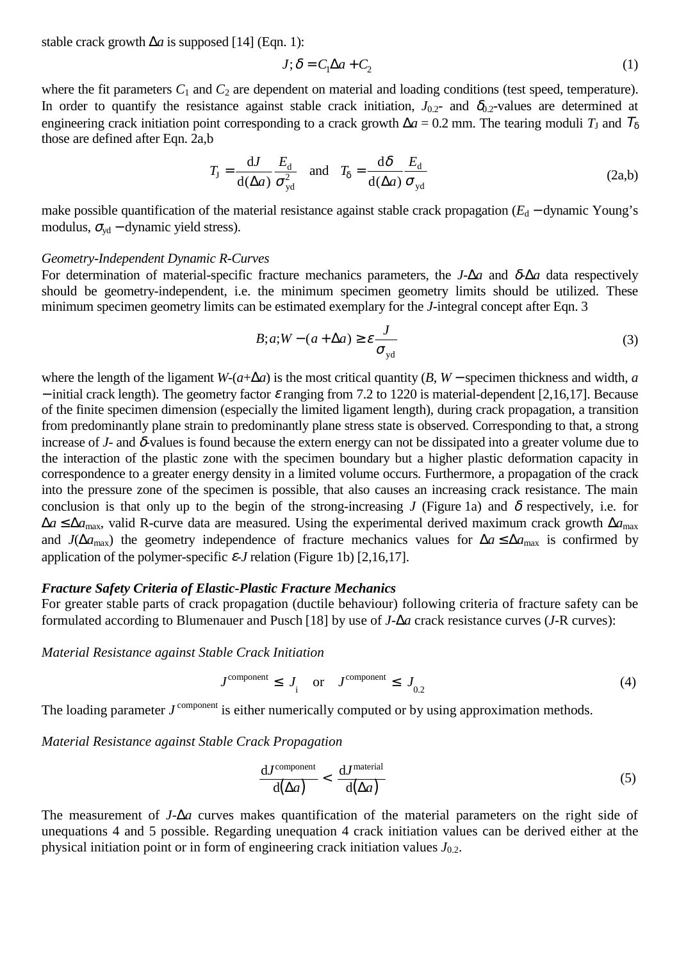stable crack growth ∆*a* is supposed [14] (Eqn. 1):

$$
J; \delta = C_1 \Delta a + C_2 \tag{1}
$$

where the fit parameters  $C_1$  and  $C_2$  are dependent on material and loading conditions (test speed, temperature). In order to quantify the resistance against stable crack initiation,  $J_{0.2}$ - and  $\delta_{0.2}$ -values are determined at engineering crack initiation point corresponding to a crack growth  $\Delta a = 0.2$  mm. The tearing moduli  $T<sub>J</sub>$  and  $T<sub>δ</sub>$ those are defined after Eqn. 2a,b

$$
T_{\rm J} = \frac{dJ}{d(\Delta a)} \frac{E_{\rm d}}{\sigma_{\rm yd}^2} \quad \text{and} \quad T_{\delta} = \frac{d\delta}{d(\Delta a)} \frac{E_{\rm d}}{\sigma_{\rm yd}} \tag{2a,b}
$$

make possible quantification of the material resistance against stable crack propagation (*E*<sub>d</sub> − dynamic Young's modulus,  $\sigma_{\text{vd}}$  – dynamic yield stress).

#### *Geometry-Independent Dynamic R-Curves*

For determination of material-specific fracture mechanics parameters, the *J*-∆*a* and δ-∆*a* data respectively should be geometry-independent, i.e. the minimum specimen geometry limits should be utilized. These minimum specimen geometry limits can be estimated exemplary for the *J*-integral concept after Eqn. 3

$$
B; a; W - (a + \Delta a) \ge \varepsilon \frac{J}{\sigma_{\text{yd}}}
$$
 (3)

where the length of the ligament *W*-( $a+\Delta a$ ) is the most critical quantity (*B*, *W* – specimen thickness and width, *a*  $-$  initial crack length). The geometry factor  $\varepsilon$  ranging from 7.2 to 1220 is material-dependent [2,16,17]. Because of the finite specimen dimension (especially the limited ligament length), during crack propagation, a transition from predominantly plane strain to predominantly plane stress state is observed. Corresponding to that, a strong increase of  $J$ - and  $\delta$ -values is found because the extern energy can not be dissipated into a greater volume due to the interaction of the plastic zone with the specimen boundary but a higher plastic deformation capacity in correspondence to a greater energy density in a limited volume occurs. Furthermore, a propagation of the crack into the pressure zone of the specimen is possible, that also causes an increasing crack resistance. The main conclusion is that only up to the begin of the strong-increasing *J* (Figure 1a) and  $\delta$  respectively, i.e. for ∆*a* ≤ ∆*a*max, valid R-curve data are measured. Using the experimental derived maximum crack growth ∆*a*max and *J*( $\Delta a_{\text{max}}$ ) the geometry independence of fracture mechanics values for  $\Delta a \leq \Delta a_{\text{max}}$  is confirmed by application of the polymer-specific  $\varepsilon$ -*J* relation (Figure 1b) [2,16,17].

#### *Fracture Safety Criteria of Elastic-Plastic Fracture Mechanics*

For greater stable parts of crack propagation (ductile behaviour) following criteria of fracture safety can be formulated according to Blumenauer and Pusch [18] by use of *J-*∆*a* crack resistance curves (*J*-R curves):

*Material Resistance against Stable Crack Initiation*

$$
J^{\text{component}} \leq J_{i} \quad \text{or} \quad J^{\text{component}} \leq J_{0.2} \tag{4}
$$

The loading parameter *J*<sup>component</sup> is either numerically computed or by using approximation methods.

*Material Resistance against Stable Crack Propagation*

$$
\frac{\text{d}J^{\text{component}}}{\text{d}(\Delta a)} < \frac{\text{d}J^{\text{material}}}{\text{d}(\Delta a)}\tag{5}
$$

The measurement of *J-*∆*a* curves makes quantification of the material parameters on the right side of unequations 4 and 5 possible. Regarding unequation 4 crack initiation values can be derived either at the physical initiation point or in form of engineering crack initiation values  $J_{0.2}$ .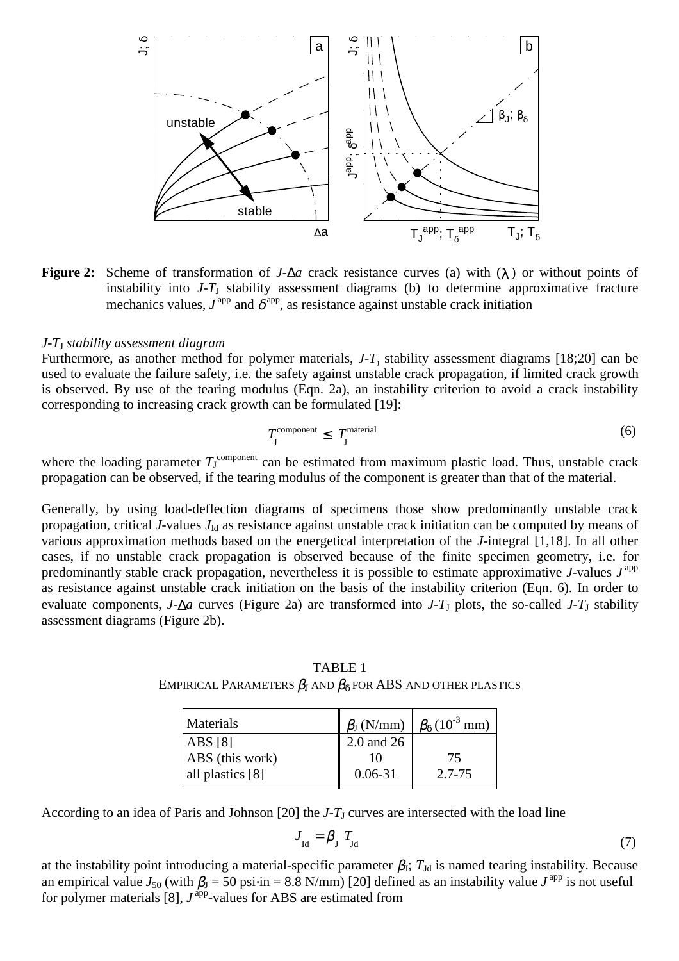

**Figure 2:** Scheme of transformation of *J*-∆*a* crack resistance curves (a) with (λ ) or without points of instability into *J*-*T*J stability assessment diagrams (b) to determine approximative fracture mechanics values,  $J^{\text{app}}$  and  $\delta^{\text{app}}$ , as resistance against unstable crack initiation

## *J-T*J *stability assessment diagram*

Furthermore, as another method for polymer materials,  $J - T<sub>J</sub>$  stability assessment diagrams [18;20] can be used to evaluate the failure safety, i.e. the safety against unstable crack propagation, if limited crack growth is observed. By use of the tearing modulus (Eqn. 2a), an instability criterion to avoid a crack instability corresponding to increasing crack growth can be formulated [19]:

$$
T_{\text{J}}^{\text{component}} \leq T_{\text{J}}^{\text{material}} \tag{6}
$$

where the loading parameter  $T_J^{\text{component}}$  can be estimated from maximum plastic load. Thus, unstable crack propagation can be observed, if the tearing modulus of the component is greater than that of the material.

Generally, by using load-deflection diagrams of specimens those show predominantly unstable crack propagation, critical *J*-values  $J<sub>Id</sub>$  as resistance against unstable crack initiation can be computed by means of various approximation methods based on the energetical interpretation of the *J*-integral [1,18]. In all other cases, if no unstable crack propagation is observed because of the finite specimen geometry, i.e. for predominantly stable crack propagation, nevertheless it is possible to estimate approximative *J*-values *J*<sup>app</sup> as resistance against unstable crack initiation on the basis of the instability criterion (Eqn. 6). In order to evaluate components, *J-* $\Delta a$  curves (Figure 2a) are transformed into *J-T*<sub>J</sub> plots, the so-called *J-T*<sub>J</sub> stability assessment diagrams (Figure 2b).

TABLE 1 EMPIRICAL PARAMETERS  $\beta_I$  and  $\beta_{\delta}$  for ABS and other plastics

|             | $\beta_{\rm J}$ (N/mm) $\beta_{\rm \delta}$ (10 <sup>-3</sup> mm) |
|-------------|-------------------------------------------------------------------|
| 2.0 and 26  |                                                                   |
|             | 75                                                                |
| $0.06 - 31$ | 2.7-75                                                            |
|             |                                                                   |

According to an idea of Paris and Johnson  $[20]$  the *J-T<sub>I</sub>* curves are intersected with the load line

$$
J_{\text{Id}} = \beta_{\text{J}} \ T_{\text{Id}} \tag{7}
$$

at the instability point introducing a material-specific parameter  $\beta_J$ ;  $T_{Jd}$  is named tearing instability. Because an empirical value  $J_{50}$  (with  $\beta_J = 50$  psi $\cdot$ in = 8.8 N/mm) [20] defined as an instability value  $J^{\text{app}}$  is not useful for polymer materials [8],  $J^{\text{app}}$ -values for ABS are estimated from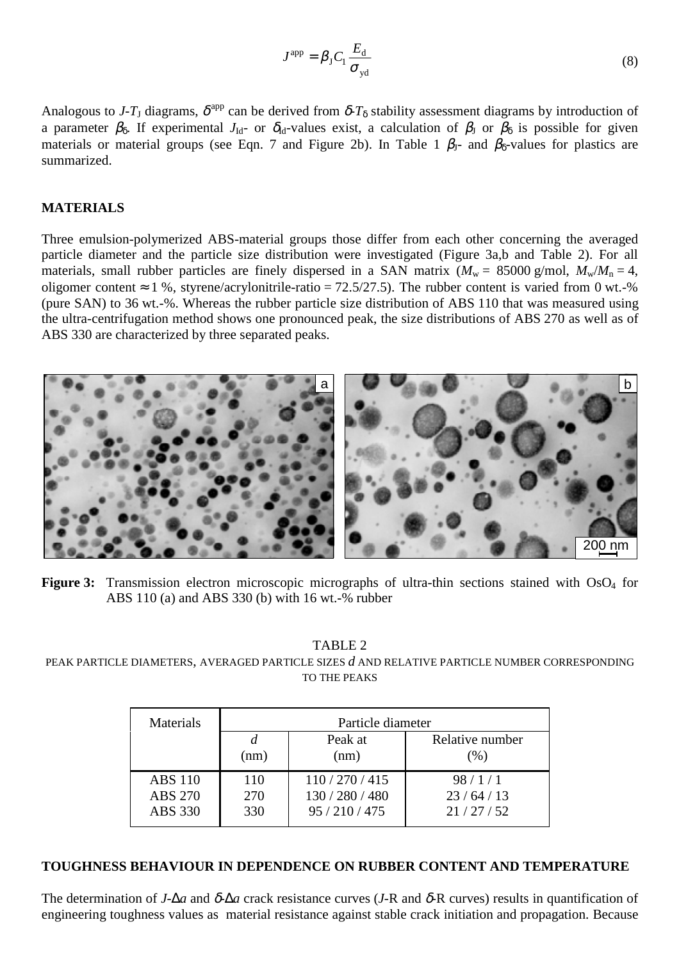$$
J^{\rm app} = \beta_{\rm J} C_{\rm l} \frac{E_{\rm d}}{\sigma_{\rm yd}} \tag{8}
$$

Analogous to *J*-T<sub>J</sub> diagrams,  $\delta^{\text{app}}$  can be derived from  $\delta$ -T<sub> $\delta$ </sub> stability assessment diagrams by introduction of a parameter  $\beta_{\delta}$ . If experimental  $J_{Id}$ - or  $\delta_{Id}$ -values exist, a calculation of  $\beta_{IJ}$  or  $\beta_{\delta}$  is possible for given materials or material groups (see Eqn. 7 and Figure 2b). In Table 1  $\beta_1$ - and  $\beta_2$ -values for plastics are summarized.

## **MATERIALS**

Three emulsion-polymerized ABS-material groups those differ from each other concerning the averaged particle diameter and the particle size distribution were investigated (Figure 3a,b and Table 2). For all materials, small rubber particles are finely dispersed in a SAN matrix  $(M_w = 85000 \text{ g/mol}, M_w/M_n = 4,$ oligomer content  $\approx 1$  %, styrene/acrylonitrile-ratio = 72.5/27.5). The rubber content is varied from 0 wt.-% (pure SAN) to 36 wt.-%. Whereas the rubber particle size distribution of ABS 110 that was measured using the ultra-centrifugation method shows one pronounced peak, the size distributions of ABS 270 as well as of ABS 330 are characterized by three separated peaks.



Figure 3: Transmission electron microscopic micrographs of ultra-thin sections stained with OsO<sub>4</sub> for ABS 110 (a) and ABS 330 (b) with 16 wt.-% rubber

TABLE 2

PEAK PARTICLE DIAMETERS, AVERAGED PARTICLE SIZES *d* AND RELATIVE PARTICLE NUMBER CORRESPONDING TO THE PEAKS

| Materials      | Particle diameter |                 |                 |
|----------------|-------------------|-----------------|-----------------|
|                |                   | Peak at         | Relative number |
|                | (nm)              | (nm)            | $(\%)$          |
| <b>ABS 110</b> | 110               | 110/270/415     | 98/1/1          |
| <b>ABS 270</b> | 270               | 130 / 280 / 480 | 23/64/13        |
| ABS 330        | 330               | 95/210/475      | 21/27/52        |

#### **TOUGHNESS BEHAVIOUR IN DEPENDENCE ON RUBBER CONTENT AND TEMPERATURE**

The determination of *J*-∆*a* and δ-∆*a* crack resistance curves (*J*-R and δ-R curves) results in quantification of engineering toughness values as material resistance against stable crack initiation and propagation. Because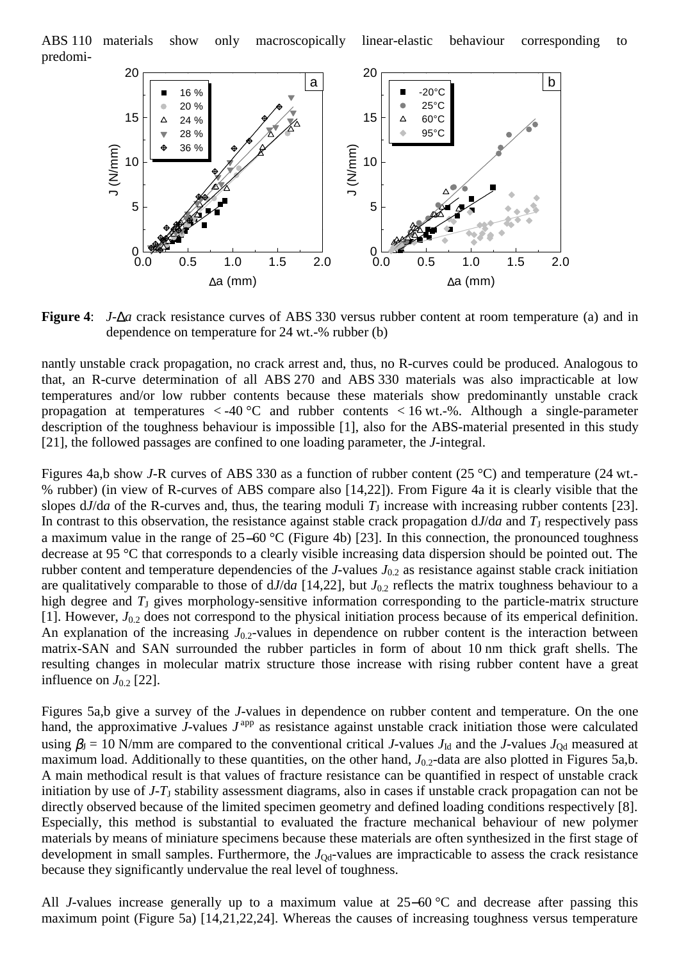ABS 110 materials show only macroscopically linear-elastic behaviour corresponding to predomi-



**Figure 4**: *J*-∆*a* crack resistance curves of ABS 330 versus rubber content at room temperature (a) and in dependence on temperature for 24 wt.-% rubber (b)

nantly unstable crack propagation, no crack arrest and, thus, no R-curves could be produced. Analogous to that, an R-curve determination of all ABS 270 and ABS 330 materials was also impracticable at low temperatures and/or low rubber contents because these materials show predominantly unstable crack propagation at temperatures  $\langle -40^{\circ}$ C and rubber contents  $\langle 16 \text{ wt.} \cdot \text{%} \rangle$ . Although a single-parameter description of the toughness behaviour is impossible [1], also for the ABS-material presented in this study [21], the followed passages are confined to one loading parameter, the *J*-integral.

Figures 4a,b show *J*-R curves of ABS 330 as a function of rubber content (25 °C) and temperature (24 wt.- % rubber) (in view of R-curves of ABS compare also [14,22]). From Figure 4a it is clearly visible that the slopes  $dJ/da$  of the R-curves and, thus, the tearing moduli  $T_J$  increase with increasing rubber contents [23]. In contrast to this observation, the resistance against stable crack propagation  $dJ/da$  and  $T<sub>J</sub>$  respectively pass a maximum value in the range of 25−60 °C (Figure 4b) [23]. In this connection, the pronounced toughness decrease at 95 °C that corresponds to a clearly visible increasing data dispersion should be pointed out. The rubber content and temperature dependencies of the *J*-values  $J_{0,2}$  as resistance against stable crack initiation are qualitatively comparable to those of  $dJ/da$  [14,22], but  $J_{0.2}$  reflects the matrix toughness behaviour to a high degree and  $T<sub>J</sub>$  gives morphology-sensitive information corresponding to the particle-matrix structure [1]. However,  $J_{0.2}$  does not correspond to the physical initiation process because of its emperical definition. An explanation of the increasing  $J_{0.2}$ -values in dependence on rubber content is the interaction between matrix-SAN and SAN surrounded the rubber particles in form of about 10 nm thick graft shells. The resulting changes in molecular matrix structure those increase with rising rubber content have a great influence on  $J_{0.2}$  [22].

Figures 5a,b give a survey of the *J-*values in dependence on rubber content and temperature. On the one hand, the approximative  $J$ -values  $J<sup>app</sup>$  as resistance against unstable crack initiation those were calculated using  $\beta_J = 10$  N/mm are compared to the conventional critical *J*-values  $J_{\text{Id}}$  and the *J*-values  $J_{\text{Od}}$  measured at maximum load. Additionally to these quantities, on the other hand,  $J_{0.2}$ -data are also plotted in Figures 5a,b. A main methodical result is that values of fracture resistance can be quantified in respect of unstable crack initiation by use of  $J-T<sub>J</sub>$  stability assessment diagrams, also in cases if unstable crack propagation can not be directly observed because of the limited specimen geometry and defined loading conditions respectively [8]. Especially, this method is substantial to evaluated the fracture mechanical behaviour of new polymer materials by means of miniature specimens because these materials are often synthesized in the first stage of development in small samples. Furthermore, the  $J_{\text{Od}}$ -values are impracticable to assess the crack resistance because they significantly undervalue the real level of toughness.

All *J-*values increase generally up to a maximum value at 25−60 °C and decrease after passing this maximum point (Figure 5a) [14,21,22,24]. Whereas the causes of increasing toughness versus temperature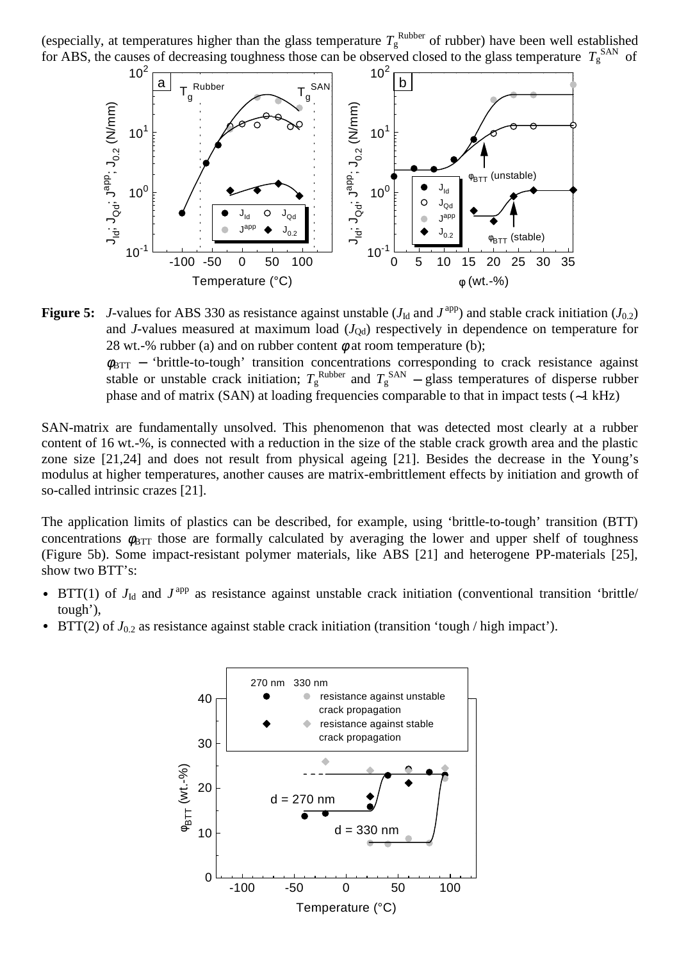(especially, at temperatures higher than the glass temperature  $T_{\rm g}^{\rm Rubber}$  of rubber) have been well established for ABS, the causes of decreasing toughness those can be observed closed to the glass temperature  $T_g^{\text{SAN}}$  of



**Figure 5:** *J*-values for ABS 330 as resistance against unstable ( $J<sub>Id</sub>$  and  $J<sup>app</sup>$ ) and stable crack initiation ( $J<sub>0.2</sub>$ ) and *J*-values measured at maximum load (*J*<sub>Qd</sub>) respectively in dependence on temperature for 28 wt.-% rubber (a) and on rubber content  $\phi$  at room temperature (b);

 $\phi_{\text{BTT}}$  – 'brittle-to-tough' transition concentrations corresponding to crack resistance against stable or unstable crack initiation;  $T_g^{\text{Rubber}}$  and  $T_g^{\text{SAN}}$  – glass temperatures of disperse rubber phase and of matrix (SAN) at loading frequencies comparable to that in impact tests (∼1 kHz)

SAN-matrix are fundamentally unsolved. This phenomenon that was detected most clearly at a rubber content of 16 wt.-%, is connected with a reduction in the size of the stable crack growth area and the plastic zone size [21,24] and does not result from physical ageing [21]. Besides the decrease in the Young's modulus at higher temperatures, another causes are matrix-embrittlement effects by initiation and growth of so-called intrinsic crazes [21].

The application limits of plastics can be described, for example, using 'brittle-to-tough' transition (BTT) concentrations  $\phi_{\text{BIT}}$  those are formally calculated by averaging the lower and upper shelf of toughness (Figure 5b). Some impact-resistant polymer materials, like ABS [21] and heterogene PP-materials [25], show two BTT's:

- BTT(1) of  $J<sub>Id</sub>$  and  $J<sup>app</sup>$  as resistance against unstable crack initiation (conventional transition 'brittle/ tough'),
- $\text{BTT}(2)$  of  $J_{0.2}$  as resistance against stable crack initiation (transition 'tough / high impact').